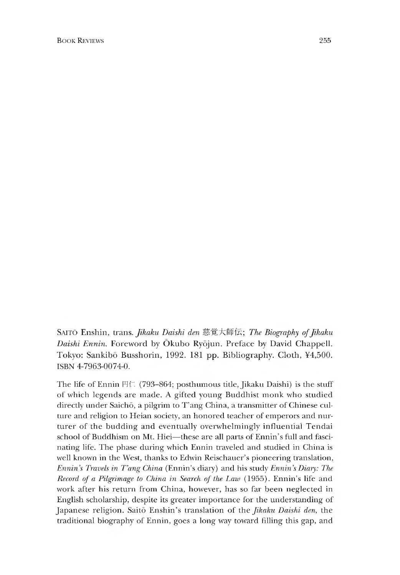SAITO Enshin, trans. *Jikaku Daishi den* 慈覚大師伝; *The Biography of Jikaku Daishi Ennin.* Foreword by Okubo Ryojun. Preface by David Chappell. Tokyo: Sankibo Busshorin, 1992. 181 pp. Bibliography. Cloth, ¥4,500. ISBN 4-7963-0074-0.

The life of Ennin 円仁 (793-864; posthumous title, Jikaku Daishi) is the stuff of which legends are made. A gifted young Buddhist monk who studied directly under Saichō, a pilgrim to T'ang China, a transmitter of Chinese culture and religion to Heian society, an honored teacher of emperors and nurturer of the budding and eventually overwhelmingly influential Tendai school of Buddhism on Mt. Hiei—these are all parts of Ennin's full and fascinating life. The phase during which Ennin traveled and studied in China is well known in the West, thanks to Edwin Reischauer's pioneering translation, *Ennin* 5 *Travels in T,ang China* (Ennin's diary) and his study *Ennin s Diary: The Record of a Pilgrimage to China in Search of the Law* (1955). Ennin's life and work after his return from China, however, has so far been neglected in English scholarship, despite its greater importance for the understanding of Japanese religion. Saito Enshin's translation of the *Jikaku Daishi den*, the traditional biography of Ennin, goes a long way toward filling this gap, and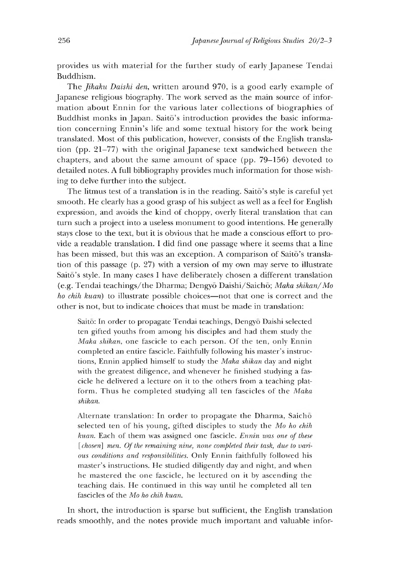provides us with material for the further study of early Japanese Tendai Buddhism.

The *Jikaku Daishi den*, written around 970, is a good early example of Japanese religious biography. The work served as the main source of information about Ennin for the various later collections of biographies of Buddhist monks in Japan. Saito's introduction provides the basic information concerning Ennin's life and some textual history for the work being translated. Most of this publication, however, consists of the English translation (pp. 21-77) with the original Japanese text sandwiched between the chapters, and about the same amount of space (pp. 79-156) devoted to detailed notes. A full bibliography provides much information for those wishing to delve further into the subject.

The litmus test of a translation is in the reading. Saito's style is careful yet smooth. He clearly has a good grasp of his subject as well as a feel for English expression, and avoids the kind of choppy, overly literal translation that can turn such a project into a useless monument to good intentions. He generally stays close to the text, but it is obvious that he made a conscious effort to provide a readable translation. I did find one passage where it seems that a line has been missed, but this was an exception. A comparison of Saito's translation of this passage (p. 27) with a version of my own may serve to illustrate Saito's style. In many cases I have deliberately chosen a different translation (e.g. Tendai teachings/the Dharma; Dengyo Daishi/Saicho; *Maka shikan/Mo ho chih kuan)* to illustrate possible choices—not that one is correct and the other is not, but to indicate choices that must be made in translation:

Saitō: In order to propagate Tendai teachings, Dengyō Daishi selected ten gifted youths from among his disciples and had them study the *Maka shikan,* one fascicle to each person. Of the ten, only Ennin completed an entire fascicle. Faithfully following his master's instructions, Ennin applied himself to study the *Maka shikan* day and night with the greatest diligence, and whenever he finished studying a fascicle he delivered a lecture on it to the others from a teaching platform. Thus he completed studying all ten fascicles of the *Maka shikan.*

Alternate translation: In order to propagate the Dharma, Saicho selected ten of his young, gifted disciples to study the *Mo ho chih kuan.* Each of them was assigned one fascicle. *Ennin was one of these* [*chosen*] men. Of the remaining nine, none completed their task, due to vari*ous conditions and responsibilities.* Only Ennin faithfully followed his master's instructions. He studied diligently day and night, and when he mastered the one fascicle, he lectured on it by ascending the teaching dais. He continued in this way until he completed all ten fascicles of the *Mo ho chih kuan.*

In short, the introduction is sparse but sufficient, the English translation reads smoothly, and the notes provide much important and valuable infor